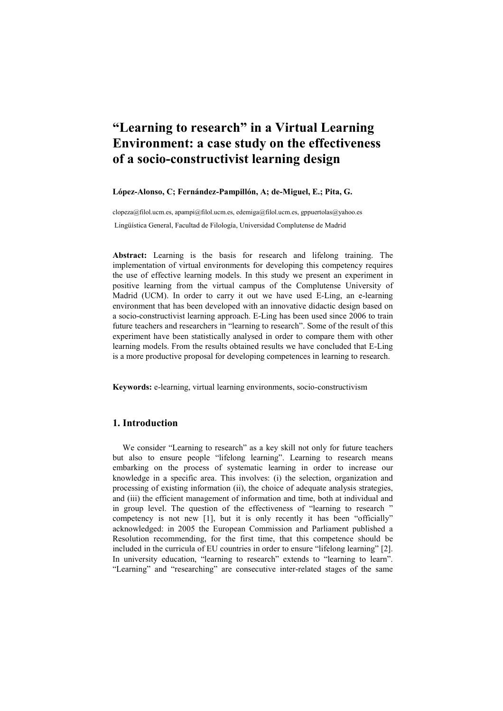# "Learning to research" in a Virtual Learning Environment: a case study on the effectiveness of a socio-constructivist learning design

## López-Alonso, C; Fernández-Pampillón, A; de-Miguel, E.; Pita, G.

clopeza@filol.ucm.es, apampi@filol.ucm.es, edemiga@filol.ucm.es, gppuertolas@yahoo.es Lingüística General, Facultad de Filología, Universidad Complutense de Madrid

Abstract: Learning is the basis for research and lifelong training. The implementation of virtual environments for developing this competency requires the use of effective learning models. In this study we present an experiment in positive learning from the virtual campus of the Complutense University of Madrid (UCM). In order to carry it out we have used E-Ling, an e-learning environment that has been developed with an innovative didactic design based on a socio-constructivist learning approach. E-Ling has been used since 2006 to train future teachers and researchers in "learning to research". Some of the result of this experiment have been statistically analysed in order to compare them with other learning models. From the results obtained results we have concluded that E-Ling is a more productive proposal for developing competences in learning to research.

Keywords: e-learning, virtual learning environments, socio-constructivism

# 1. Introduction

We consider "Learning to research" as a key skill not only for future teachers but also to ensure people "lifelong learning". Learning to research means embarking on the process of systematic learning in order to increase our knowledge in a specific area. This involves: (i) the selection, organization and processing of existing information (ii), the choice of adequate analysis strategies, and (iii) the efficient management of information and time, both at individual and in group level. The question of the effectiveness of "learning to research " competency is not new [1], but it is only recently it has been "officially" acknowledged: in 2005 the European Commission and Parliament published a Resolution recommending, for the first time, that this competence should be included in the curricula of EU countries in order to ensure "lifelong learning" [2]. In university education, "learning to research" extends to "learning to learn". "Learning" and "researching" are consecutive inter-related stages of the same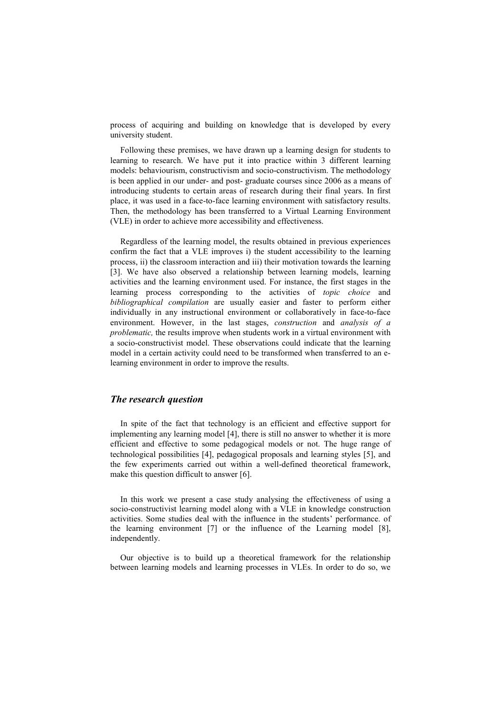process of acquiring and building on knowledge that is developed by every university student.

Following these premises, we have drawn up a learning design for students to learning to research. We have put it into practice within 3 different learning models: behaviourism, constructivism and socio-constructivism. The methodology is been applied in our under- and post- graduate courses since 2006 as a means of introducing students to certain areas of research during their final years. In first place, it was used in a face-to-face learning environment with satisfactory results. Then, the methodology has been transferred to a Virtual Learning Environment (VLE) in order to achieve more accessibility and effectiveness.

Regardless of the learning model, the results obtained in previous experiences confirm the fact that a VLE improves i) the student accessibility to the learning process, ii) the classroom interaction and iii) their motivation towards the learning [3]. We have also observed a relationship between learning models, learning activities and the learning environment used. For instance, the first stages in the learning process corresponding to the activities of topic choice and bibliographical compilation are usually easier and faster to perform either individually in any instructional environment or collaboratively in face-to-face environment. However, in the last stages, construction and analysis of a problematic, the results improve when students work in a virtual environment with a socio-constructivist model. These observations could indicate that the learning model in a certain activity could need to be transformed when transferred to an elearning environment in order to improve the results.

#### The research question

In spite of the fact that technology is an efficient and effective support for implementing any learning model [4], there is still no answer to whether it is more efficient and effective to some pedagogical models or not. The huge range of technological possibilities [4], pedagogical proposals and learning styles [5], and the few experiments carried out within a well-defined theoretical framework, make this question difficult to answer [6].

In this work we present a case study analysing the effectiveness of using a socio-constructivist learning model along with a VLE in knowledge construction activities. Some studies deal with the influence in the students' performance. of the learning environment [7] or the influence of the Learning model [8], independently.

Our objective is to build up a theoretical framework for the relationship between learning models and learning processes in VLEs. In order to do so, we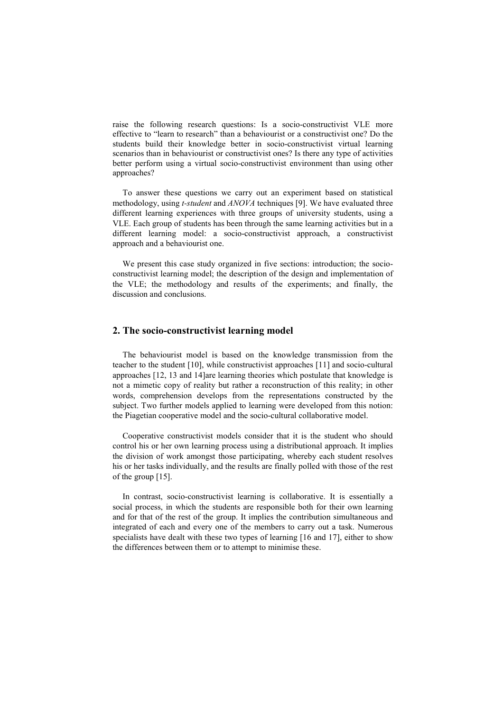raise the following research questions: Is a socio-constructivist VLE more effective to "learn to research" than a behaviourist or a constructivist one? Do the students build their knowledge better in socio-constructivist virtual learning scenarios than in behaviourist or constructivist ones? Is there any type of activities better perform using a virtual socio-constructivist environment than using other approaches?

To answer these questions we carry out an experiment based on statistical methodology, using *t-student* and *ANOVA* techniques [9]. We have evaluated three different learning experiences with three groups of university students, using a VLE. Each group of students has been through the same learning activities but in a different learning model: a socio-constructivist approach, a constructivist approach and a behaviourist one.

We present this case study organized in five sections: introduction; the socioconstructivist learning model; the description of the design and implementation of the VLE; the methodology and results of the experiments; and finally, the discussion and conclusions.

### 2. The socio-constructivist learning model

The behaviourist model is based on the knowledge transmission from the teacher to the student [10], while constructivist approaches [11] and socio-cultural approaches [12, 13 and 14]are learning theories which postulate that knowledge is not a mimetic copy of reality but rather a reconstruction of this reality; in other words, comprehension develops from the representations constructed by the subject. Two further models applied to learning were developed from this notion: the Piagetian cooperative model and the socio-cultural collaborative model.

Cooperative constructivist models consider that it is the student who should control his or her own learning process using a distributional approach. It implies the division of work amongst those participating, whereby each student resolves his or her tasks individually, and the results are finally polled with those of the rest of the group [15].

In contrast, socio-constructivist learning is collaborative. It is essentially a social process, in which the students are responsible both for their own learning and for that of the rest of the group. It implies the contribution simultaneous and integrated of each and every one of the members to carry out a task. Numerous specialists have dealt with these two types of learning [16 and 17], either to show the differences between them or to attempt to minimise these.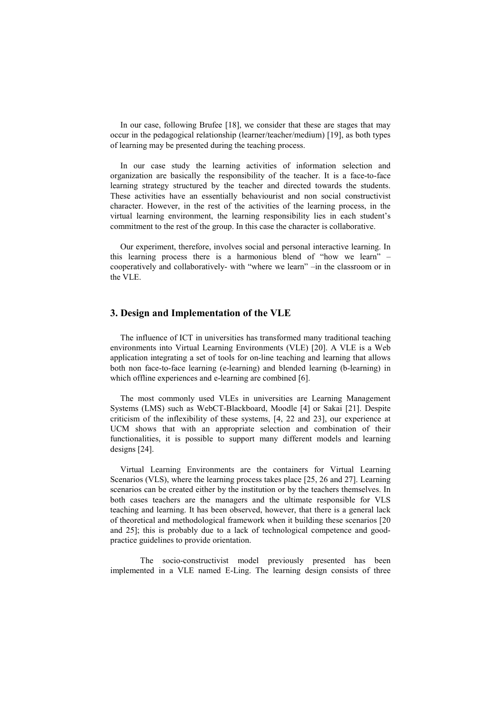In our case, following Brufee [18], we consider that these are stages that may occur in the pedagogical relationship (learner/teacher/medium) [19], as both types of learning may be presented during the teaching process.

In our case study the learning activities of information selection and organization are basically the responsibility of the teacher. It is a face-to-face learning strategy structured by the teacher and directed towards the students. These activities have an essentially behaviourist and non social constructivist character. However, in the rest of the activities of the learning process, in the virtual learning environment, the learning responsibility lies in each student's commitment to the rest of the group. In this case the character is collaborative.

Our experiment, therefore, involves social and personal interactive learning. In this learning process there is a harmonious blend of "how we learn" – cooperatively and collaboratively- with "where we learn" –in the classroom or in the VLE.

## 3. Design and Implementation of the VLE

The influence of ICT in universities has transformed many traditional teaching environments into Virtual Learning Environments (VLE) [20]. A VLE is a Web application integrating a set of tools for on-line teaching and learning that allows both non face-to-face learning (e-learning) and blended learning (b-learning) in which offline experiences and e-learning are combined [6].

The most commonly used VLEs in universities are Learning Management Systems (LMS) such as WebCT-Blackboard, Moodle [4] or Sakai [21]. Despite criticism of the inflexibility of these systems, [4, 22 and 23], our experience at UCM shows that with an appropriate selection and combination of their functionalities, it is possible to support many different models and learning designs [24].

Virtual Learning Environments are the containers for Virtual Learning Scenarios (VLS), where the learning process takes place [25, 26 and 27]. Learning scenarios can be created either by the institution or by the teachers themselves. In both cases teachers are the managers and the ultimate responsible for VLS teaching and learning. It has been observed, however, that there is a general lack of theoretical and methodological framework when it building these scenarios [20 and 25]; this is probably due to a lack of technological competence and goodpractice guidelines to provide orientation.

The socio-constructivist model previously presented has been implemented in a VLE named E-Ling. The learning design consists of three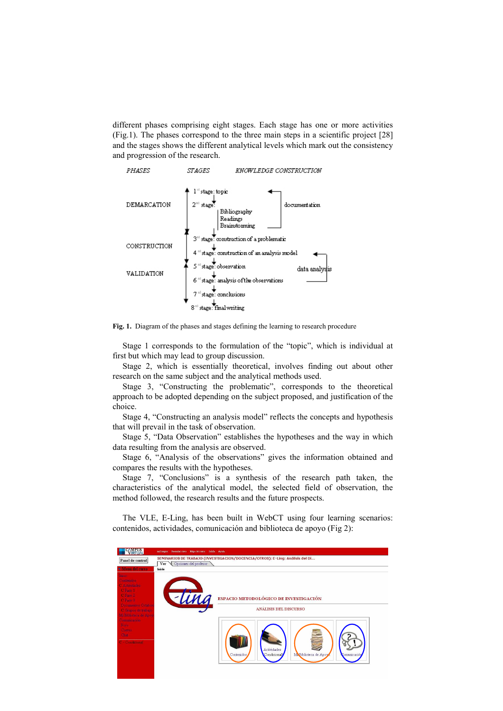different phases comprising eight stages. Each stage has one or more activities (Fig.1). The phases correspond to the three main steps in a scientific project [28] and the stages shows the different analytical levels which mark out the consistency and progression of the research.



Fig. 1. Diagram of the phases and stages defining the learning to research procedure

Stage 1 corresponds to the formulation of the "topic", which is individual at first but which may lead to group discussion.

Stage 2, which is essentially theoretical, involves finding out about other research on the same subject and the analytical methods used.

Stage 3, "Constructing the problematic", corresponds to the theoretical approach to be adopted depending on the subject proposed, and justification of the choice.

Stage 4, "Constructing an analysis model" reflects the concepts and hypothesis that will prevail in the task of observation.

Stage 5, "Data Observation" establishes the hypotheses and the way in which data resulting from the analysis are observed.

Stage 6, "Analysis of the observations" gives the information obtained and compares the results with the hypotheses.

Stage 7, "Conclusions" is a synthesis of the research path taken, the characteristics of the analytical model, the selected field of observation, the method followed, the research results and the future prospects.

The VLE, E-Ling, has been built in WebCT using four learning scenarios: contenidos, actividades, comunicación and biblioteca de apoyo (Fig 2):

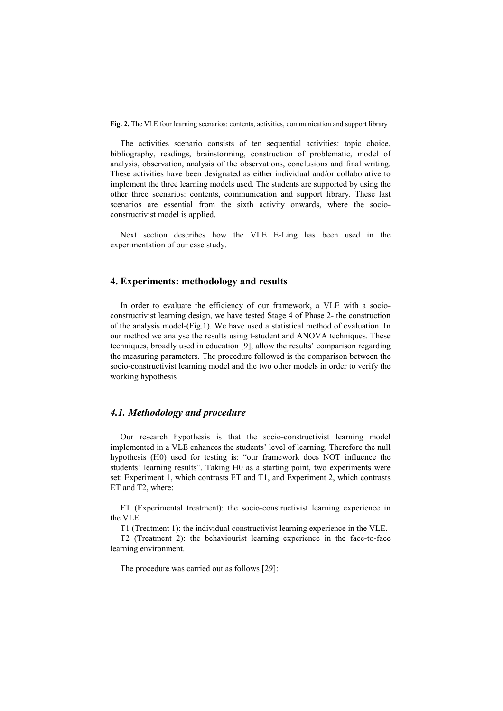Fig. 2. The VLE four learning scenarios: contents, activities, communication and support library

The activities scenario consists of ten sequential activities: topic choice, bibliography, readings, brainstorming, construction of problematic, model of analysis, observation, analysis of the observations, conclusions and final writing. These activities have been designated as either individual and/or collaborative to implement the three learning models used. The students are supported by using the other three scenarios: contents, communication and support library. These last scenarios are essential from the sixth activity onwards, where the socioconstructivist model is applied.

Next section describes how the VLE E-Ling has been used in the experimentation of our case study.

# 4. Experiments: methodology and results

In order to evaluate the efficiency of our framework, a VLE with a socioconstructivist learning design, we have tested Stage 4 of Phase 2- the construction of the analysis model-(Fig.1). We have used a statistical method of evaluation. In our method we analyse the results using t-student and ANOVA techniques. These techniques, broadly used in education [9], allow the results' comparison regarding the measuring parameters. The procedure followed is the comparison between the socio-constructivist learning model and the two other models in order to verify the working hypothesis

# 4.1. Methodology and procedure

Our research hypothesis is that the socio-constructivist learning model implemented in a VLE enhances the students' level of learning. Therefore the null hypothesis (H0) used for testing is: "our framework does NOT influence the students' learning results". Taking H0 as a starting point, two experiments were set: Experiment 1, which contrasts ET and T1, and Experiment 2, which contrasts ET and T2, where:

ET (Experimental treatment): the socio-constructivist learning experience in the VLE.

T1 (Treatment 1): the individual constructivist learning experience in the VLE.

T2 (Treatment 2): the behaviourist learning experience in the face-to-face learning environment.

The procedure was carried out as follows [29]: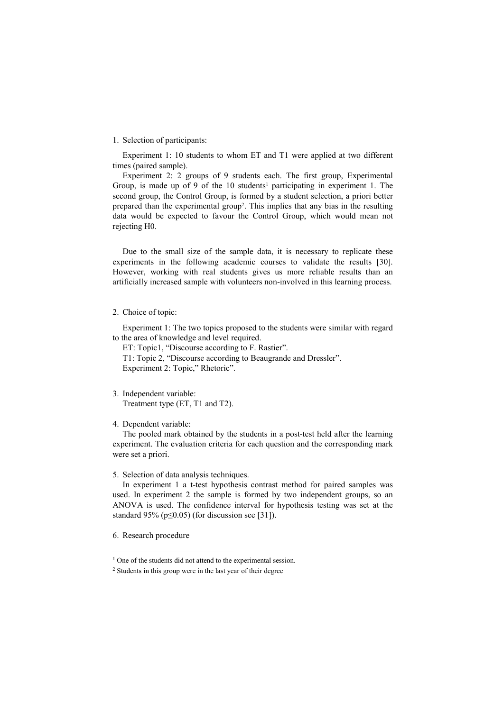#### 1. Selection of participants:

Experiment 1: 10 students to whom ET and T1 were applied at two different times (paired sample).

Experiment 2: 2 groups of 9 students each. The first group, Experimental Group, is made up of 9 of the  $10$  students<sup>1</sup> participating in experiment 1. The second group, the Control Group, is formed by a student selection, a priori better prepared than the experimental group<sup>2</sup>. This implies that any bias in the resulting data would be expected to favour the Control Group, which would mean not rejecting H0.

Due to the small size of the sample data, it is necessary to replicate these experiments in the following academic courses to validate the results [30]. However, working with real students gives us more reliable results than an artificially increased sample with volunteers non-involved in this learning process.

#### 2. Choice of topic:

Experiment 1: The two topics proposed to the students were similar with regard to the area of knowledge and level required.

ET: Topic1, "Discourse according to F. Rastier".

T1: Topic 2, "Discourse according to Beaugrande and Dressler". Experiment 2: Topic," Rhetoric".

## 3. Independent variable:

Treatment type (ET, T1 and T2).

#### 4. Dependent variable:

The pooled mark obtained by the students in a post-test held after the learning experiment. The evaluation criteria for each question and the corresponding mark were set a priori.

## 5. Selection of data analysis techniques.

In experiment 1 a t-test hypothesis contrast method for paired samples was used. In experiment 2 the sample is formed by two independent groups, so an ANOVA is used. The confidence interval for hypothesis testing was set at the standard 95% ( $p \le 0.05$ ) (for discussion see [31]).

6. Research procedure

<sup>&</sup>lt;sup>1</sup> One of the students did not attend to the experimental session.

<sup>&</sup>lt;sup>2</sup> Students in this group were in the last year of their degree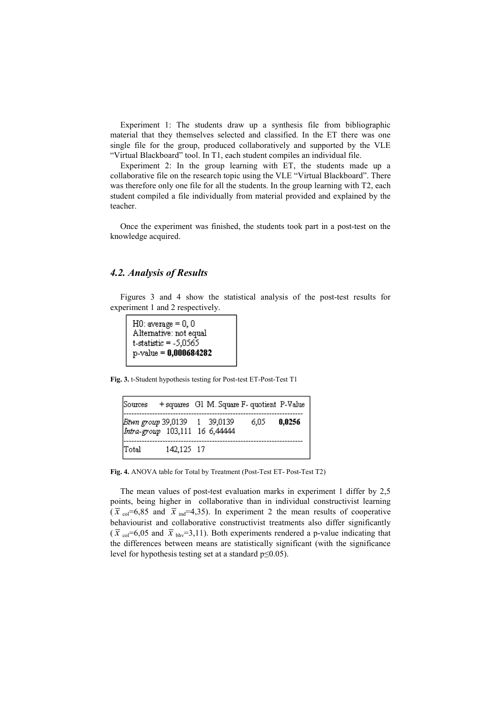Experiment 1: The students draw up a synthesis file from bibliographic material that they themselves selected and classified. In the ET there was one single file for the group, produced collaboratively and supported by the VLE "Virtual Blackboard" tool. In T1, each student compiles an individual file.

Experiment 2: In the group learning with ET, the students made up a collaborative file on the research topic using the VLE "Virtual Blackboard". There was therefore only one file for all the students. In the group learning with T2, each student compiled a file individually from material provided and explained by the teacher.

Once the experiment was finished, the students took part in a post-test on the knowledge acquired.

# 4.2. Analysis of Results

Figures 3 and 4 show the statistical analysis of the post-test results for experiment 1 and 2 respectively.

 $H0$ : average = 0, 0 Alternative: not equal  $t-statistic = -5,0565$  $p$ -value = 0,000684282

Fig. 3. t-Student hypothesis testing for Post-test ET-Post-Test T1

|       |            | Sources + squares G1 M. Square F- quotient P-Value             |      |        |
|-------|------------|----------------------------------------------------------------|------|--------|
|       |            | Btwn group 39,0139 1 39,0139<br>Intra-group 103,111 16 6,44444 | 6.05 | 0,0256 |
| Total | 142,125 17 |                                                                |      |        |

Fig. 4. ANOVA table for Total by Treatment (Post-Test ET- Post-Test T2)

The mean values of post-test evaluation marks in experiment 1 differ by 2,5 points, being higher in collaborative than in individual constructivist learning  $(\bar{x}_{col}=6.85$  and  $\bar{x}_{ind}=4.35)$ . In experiment 2 the mean results of cooperative behaviourist and collaborative constructivist treatments also differ significantly  $(\bar{x}_{\text{col}}=6.05 \text{ and } \bar{x}_{\text{biv}}=3.11)$ . Both experiments rendered a p-value indicating that the differences between means are statistically significant (with the significance level for hypothesis testing set at a standard p≤0.05).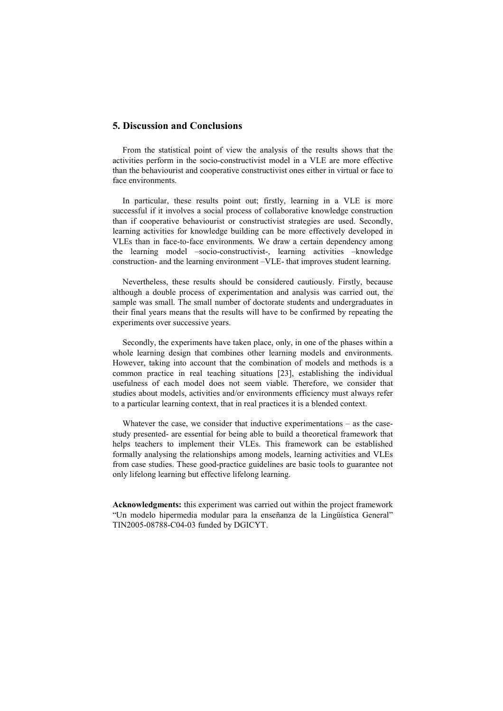## 5. Discussion and Conclusions

From the statistical point of view the analysis of the results shows that the activities perform in the socio-constructivist model in a VLE are more effective than the behaviourist and cooperative constructivist ones either in virtual or face to face environments.

In particular, these results point out; firstly, learning in a VLE is more successful if it involves a social process of collaborative knowledge construction than if cooperative behaviourist or constructivist strategies are used. Secondly, learning activities for knowledge building can be more effectively developed in VLEs than in face-to-face environments. We draw a certain dependency among the learning model –socio-constructivist-, learning activities –knowledge construction- and the learning environment –VLE- that improves student learning.

Nevertheless, these results should be considered cautiously. Firstly, because although a double process of experimentation and analysis was carried out, the sample was small. The small number of doctorate students and undergraduates in their final years means that the results will have to be confirmed by repeating the experiments over successive years.

Secondly, the experiments have taken place, only, in one of the phases within a whole learning design that combines other learning models and environments. However, taking into account that the combination of models and methods is a common practice in real teaching situations [23], establishing the individual usefulness of each model does not seem viable. Therefore, we consider that studies about models, activities and/or environments efficiency must always refer to a particular learning context, that in real practices it is a blended context.

Whatever the case, we consider that inductive experimentations – as the casestudy presented- are essential for being able to build a theoretical framework that helps teachers to implement their VLEs. This framework can be established formally analysing the relationships among models, learning activities and VLEs from case studies. These good-practice guidelines are basic tools to guarantee not only lifelong learning but effective lifelong learning.

Acknowledgments: this experiment was carried out within the project framework "Un modelo hipermedia modular para la enseñanza de la Lingüística General" TIN2005-08788-C04-03 funded by DGICYT.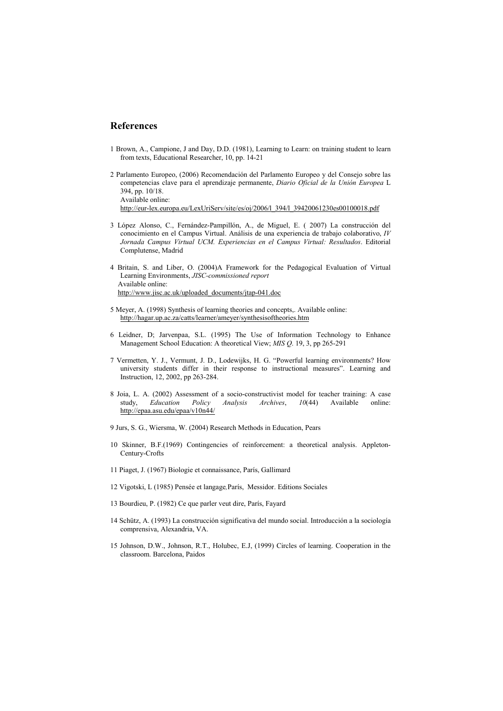## References

- 1 Brown, A., Campione, J and Day, D.D. (1981), Learning to Learn: on training student to learn from texts, Educational Researcher, 10, pp. 14-21
- 2 Parlamento Europeo, (2006) Recomendación del Parlamento Europeo y del Consejo sobre las competencias clave para el aprendizaje permanente, Diario Oficial de la Unión Europea L 394, pp. 10/18. Available online: http://eur-lex.europa.eu/LexUriServ/site/es/oj/2006/l\_394/l\_39420061230es00100018.pdf
- 3 López Alonso, C., Fernández-Pampillón, A., de Miguel, E. ( 2007) La construcción del conocimiento en el Campus Virtual. Análisis de una experiencia de trabajo colaborativo, IV Jornada Campus Virtual UCM. Experiencias en el Campus Virtual: Resultados. Editorial Complutense, Madrid
- 4 Britain, S. and Liber, O. (2004)A Framework for the Pedagogical Evaluation of Virtual Learning Environments, JISC-commissioned report Available online: http://www.jisc.ac.uk/uploaded\_documents/jtap-041.doc
- 5 Meyer, A. (1998) Synthesis of learning theories and concepts,. Available online: http://hagar.up.ac.za/catts/learner/ameyer/synthesisoftheories.htm
- 6 Leidner, D; Jarvenpaa, S.L. (1995) The Use of Information Technology to Enhance Management School Education: A theoretical View; MIS Q. 19, 3, pp 265-291
- 7 Vermetten, Y. J., Vermunt, J. D., Lodewijks, H. G. "Powerful learning environments? How university students differ in their response to instructional measures". Learning and Instruction, 12, 2002, pp 263-284.
- 8 Joia, L. A. (2002) Assessment of a socio-constructivist model for teacher training: A case study, Education Policy Analysis Archives, 10(44) Available online: http://epaa.asu.edu/epaa/v10n44/
- 9 Jurs, S. G., Wiersma, W. (2004) Research Methods in Education, Pears
- 10 Skinner, B.F.(1969) Contingencies of reinforcement: a theoretical analysis. Appleton-Century-Crofts
- 11 Piaget, J. (1967) Biologie et connaissance, París, Gallimard
- 12 Vigotski, L (1985) Pensée et langage,París, Messidor. Editions Sociales
- 13 Bourdieu, P. (1982) Ce que parler veut dire, París, Fayard
- 14 Schütz, A. (1993) La construcción significativa del mundo social. Introducción a la sociología comprensiva, Alexandria, VA.
- 15 Johnson, D.W., Johnson, R.T., Holubec, E.J, (1999) Circles of learning. Cooperation in the classroom. Barcelona, Paidos